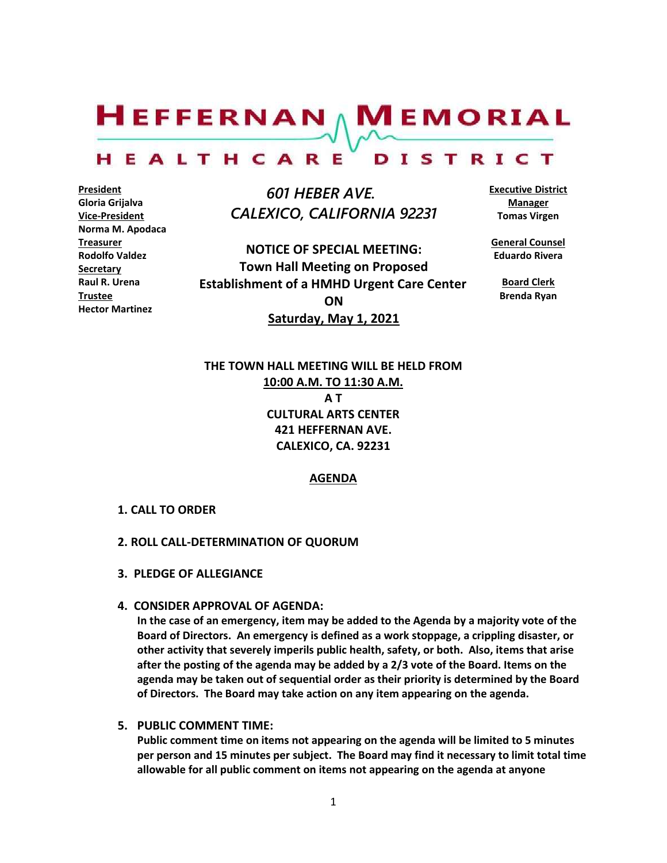$H$ EFFERNAN  $\wedge$  M EMORIAL

#### HEALTHCARE DISTRICT

**President Gloria Grijalva Vice-President Norma M. Apodaca Treasurer Rodolfo Valdez Secretary Raul R. Urena Trustee Hector Martinez**

 *601 HEBER AVE. CALEXICO, CALIFORNIA 92231*

**NOTICE OF SPECIAL MEETING: Town Hall Meeting on Proposed Establishment of a HMHD Urgent Care Center ON Saturday, May 1, 2021**

**Executive District Manager Tomas Virgen**

**General Counsel Eduardo Rivera**

> **Board Clerk Brenda Ryan**

**THE TOWN HALL MEETING WILL BE HELD FROM 10:00 A.M. TO 11:30 A.M. A T CULTURAL ARTS CENTER 421 HEFFERNAN AVE. CALEXICO, CA. 92231**

**AGENDA**

- **1. CALL TO ORDER**
- **2. ROLL CALL-DETERMINATION OF QUORUM**
- **3. PLEDGE OF ALLEGIANCE**
- **4. CONSIDER APPROVAL OF AGENDA:**

**In the case of an emergency, item may be added to the Agenda by a majority vote of the Board of Directors. An emergency is defined as a work stoppage, a crippling disaster, or other activity that severely imperils public health, safety, or both. Also, items that arise after the posting of the agenda may be added by a 2/3 vote of the Board. Items on the agenda may be taken out of sequential order as their priority is determined by the Board of Directors. The Board may take action on any item appearing on the agenda.**

**5. PUBLIC COMMENT TIME:**

**Public comment time on items not appearing on the agenda will be limited to 5 minutes per person and 15 minutes per subject. The Board may find it necessary to limit total time allowable for all public comment on items not appearing on the agenda at anyone**